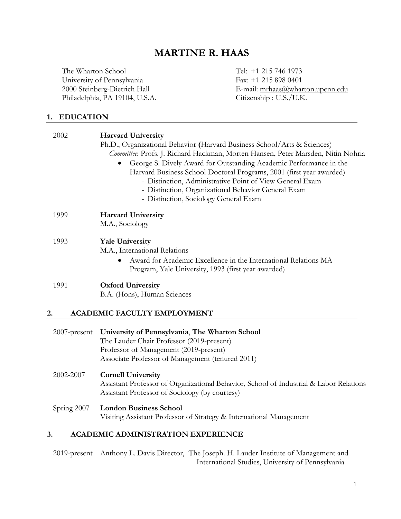# **MARTINE R. HAAS**

The Wharton School Tel: +1 215 746 1973 University of Pennsylvania Fax: +1 215 898 0401<br>
2000 Steinberg-Dietrich Hall E-mail: mrhaas@wha Philadelphia, PA 19104, U.S.A.

E-mail: mrhaas@wharton.upenn.edu<br>Citizenship : U.S./U.K.

# **1. EDUCATION**

| 2002         | <b>Harvard University</b>                                                              |
|--------------|----------------------------------------------------------------------------------------|
|              | Ph.D., Organizational Behavior (Harvard Business School/Arts & Sciences)               |
|              | Committee: Profs. J. Richard Hackman, Morten Hansen, Peter Marsden, Nitin Nohria       |
|              | George S. Dively Award for Outstanding Academic Performance in the                     |
|              | Harvard Business School Doctoral Programs, 2001 (first year awarded)                   |
|              | - Distinction, Administrative Point of View General Exam                               |
|              | - Distinction, Organizational Behavior General Exam                                    |
|              | - Distinction, Sociology General Exam                                                  |
| 1999         | <b>Harvard University</b>                                                              |
|              | M.A., Sociology                                                                        |
| 1993         | <b>Yale University</b>                                                                 |
|              | M.A., International Relations                                                          |
|              | Award for Academic Excellence in the International Relations MA                        |
|              | Program, Yale University, 1993 (first year awarded)                                    |
| 1991         | <b>Oxford University</b>                                                               |
|              | B.A. (Hons), Human Sciences                                                            |
| 2.           | <b>ACADEMIC FACULTY EMPLOYMENT</b>                                                     |
|              |                                                                                        |
| 2007-present | University of Pennsylvania, The Wharton School                                         |
|              | The Lauder Chair Professor (2019-present)                                              |
|              | Professor of Management (2019-present)                                                 |
|              | Associate Professor of Management (tenured 2011)                                       |
| 2002-2007    | <b>Cornell University</b>                                                              |
|              | Assistant Professor of Organizational Behavior, School of Industrial & Labor Relations |
|              | Assistant Professor of Sociology (by courtesy)                                         |
| Spring 2007  | <b>London Business School</b>                                                          |
|              | Visiting Assistant Professor of Strategy & International Management                    |

## **3. ACADEMIC ADMINISTRATION EXPERIENCE**

2019-present Anthony L. Davis Director, The Joseph. H. Lauder Institute of Management and International Studies, University of Pennsylvania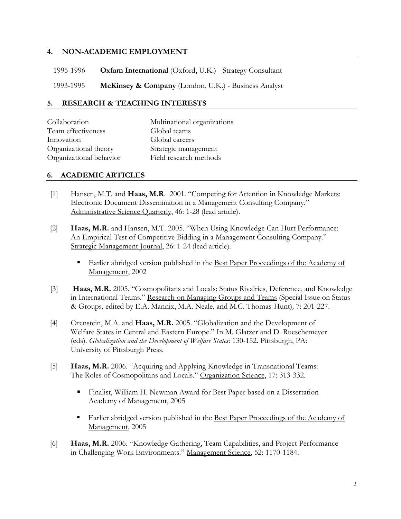## **4. NON-ACADEMIC EMPLOYMENT**

1995-1996 **Oxfam International** (Oxford, U.K.) - Strategy Consultant

1993-1995 **McKinsey & Company** (London, U.K.) - Business Analyst

#### **5. RESEARCH & TEACHING INTERESTS**

| Collaboration           | Multinational organizations |
|-------------------------|-----------------------------|
| Team effectiveness      | Global teams                |
| Innovation              | Global careers              |
| Organizational theory   | Strategic management        |
| Organizational behavior | Field research methods      |

#### **6. ACADEMIC ARTICLES**

- [1] Hansen, M.T. and **Haas, M.R**. 2001. "Competing for Attention in Knowledge Markets: Electronic Document Dissemination in a Management Consulting Company." Administrative Science Quarterly, 46: 1-28 (lead article).
- [2] **Haas, M.R.** and Hansen, M.T. 2005. "When Using Knowledge Can Hurt Performance: An Empirical Test of Competitive Bidding in a Management Consulting Company." Strategic Management Journal, 26: 1-24 (lead article).
	- Earlier abridged version published in the Best Paper Proceedings of the Academy of Management, 2002
- [3] **Haas, M.R.** 2005. "Cosmopolitans and Locals: Status Rivalries, Deference, and Knowledge in International Teams." Research on Managing Groups and Teams (Special Issue on Status & Groups, edited by E.A. Mannix, M.A. Neale, and M.C. Thomas-Hunt)*,* 7: 201-227.
- [4] Orenstein, M.A. and **Haas, M.R.** 2005. "Globalization and the Development of Welfare States in Central and Eastern Europe." In M. Glatzer and D. Rueschemeyer (eds). *Globalization and the Development of Welfare States*: 130-152. Pittsburgh, PA: University of Pittsburgh Press.
- [5] **Haas, M.R.** 2006. "Acquiring and Applying Knowledge in Transnational Teams: The Roles of Cosmopolitans and Locals." Organization Science, 17: 313-332.
	- Finalist, William H. Newman Award for Best Paper based on a Dissertation Academy of Management, 2005
	- Earlier abridged version published in the Best Paper Proceedings of the Academy of Management, 2005
- [6] **Haas, M.R.** 2006. "Knowledge Gathering, Team Capabilities, and Project Performance in Challenging Work Environments." Management Science, 52: 1170-1184.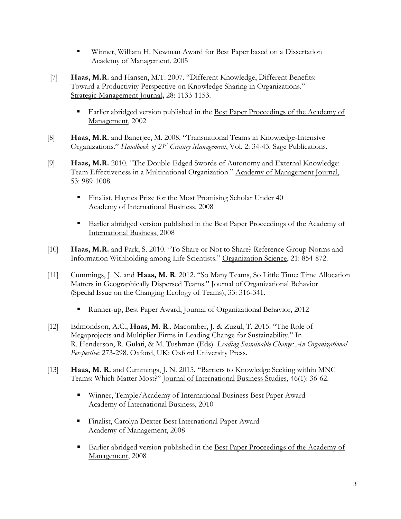- Winner, William H. Newman Award for Best Paper based on a Dissertation Academy of Management, 2005
- [7] **Haas, M.R.** and Hansen, M.T. 2007. "Different Knowledge, Different Benefits: Toward a Productivity Perspective on Knowledge Sharing in Organizations." Strategic Management Journal**,** 28: 1133-1153.
	- Earlier abridged version published in the Best Paper Proceedings of the Academy of Management, 2002
- [8] **Haas, M.R.** and Banerjee, M. 2008. "Transnational Teams in Knowledge-Intensive Organizations." *Handbook of 21st Century Management*, Vol. 2: 34-43. Sage Publications.
- [9] **Haas, M.R.** 2010. "The Double-Edged Swords of Autonomy and External Knowledge: Team Effectiveness in a Multinational Organization." Academy of Management Journal, 53: 989-1008.
	- Finalist, Haynes Prize for the Most Promising Scholar Under 40 Academy of International Business, 2008
	- Earlier abridged version published in the Best Paper Proceedings of the Academy of International Business, 2008
- [10] **Haas, M.R.** and Park, S. 2010. "To Share or Not to Share? Reference Group Norms and Information Withholding among Life Scientists." Organization Science, 21: 854-872.
- [11] Cummings, J. N. and **Haas, M. R**. 2012. "So Many Teams, So Little Time: Time Allocation Matters in Geographically Dispersed Teams." Journal of Organizational Behavior (Special Issue on the Changing Ecology of Teams), 33: 316-341.
	- Runner-up, Best Paper Award, Journal of Organizational Behavior, 2012
- [12] Edmondson, A.C., **Haas, M. R**., Macomber, J. & Zuzul, T. 2015. "The Role of Megaprojects and Multiplier Firms in Leading Change for Sustainability." In R. Henderson, R. Gulati, & M. Tushman (Eds). *Leading Sustainable Change: An Organizational Perspective*: 273-298. Oxford, UK: Oxford University Press.
- [13] **Haas, M. R.** and Cummings, J. N. 2015. "Barriers to Knowledge Seeking within MNC Teams: Which Matter Most?" Journal of International Business Studies, 46(1): 36-62.
	- Winner, Temple/Academy of International Business Best Paper Award Academy of International Business, 2010
	- Finalist, Carolyn Dexter Best International Paper Award Academy of Management, 2008
	- Earlier abridged version published in the Best Paper Proceedings of the Academy of Management, 2008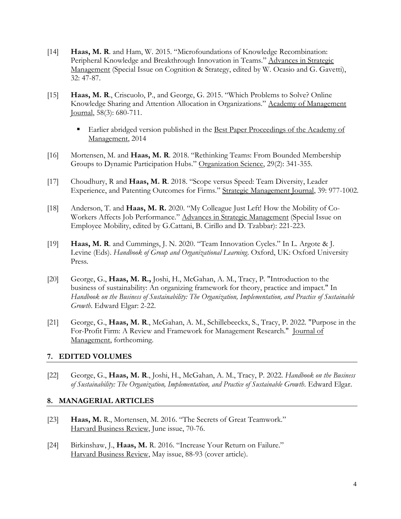- [14] **Haas, M. R**. and Ham, W. 2015. "Microfoundations of Knowledge Recombination: Peripheral Knowledge and Breakthrough Innovation in Teams." Advances in Strategic Management (Special Issue on Cognition & Strategy, edited by W. Ocasio and G. Gavetti), 32: 47-87.
- [15] **Haas, M. R**., Criscuolo, P., and George, G. 2015. "Which Problems to Solve? Online Knowledge Sharing and Attention Allocation in Organizations." Academy of Management Journal, 58(3): 680-711.
	- Earlier abridged version published in the Best Paper Proceedings of the Academy of Management, 2014
- [16] Mortensen, M. and **Haas, M. R**. 2018. "Rethinking Teams: From Bounded Membership Groups to Dynamic Participation Hubs." Organization Science, 29(2): 341-355.
- [17] Choudhury, R and **Haas, M. R**. 2018. "Scope versus Speed: Team Diversity, Leader Experience, and Patenting Outcomes for Firms." Strategic Management Journal, 39: 977-1002.
- [18] Anderson, T. and **Haas, M. R.** 2020. "My Colleague Just Left! How the Mobility of Co-Workers Affects Job Performance." Advances in Strategic Management (Special Issue on Employee Mobility, edited by G.Cattani, B. Cirillo and D. Tzabbar): 221-223.
- [19] **Haas, M. R**. and Cummings, J. N. 2020. "Team Innovation Cycles." In L. Argote & J. Levine (Eds). *Handbook of Group and Organizational Learning*. Oxford, UK: Oxford University Press.
- [20] George, G., **Haas, M. R.,** Joshi, H., McGahan, A. M., Tracy, P. "Introduction to the business of sustainability: An organizing framework for theory, practice and impact." In *Handbook on the Business of Sustainability: The Organization, Implementation, and Practice of Sustainable Growth*. Edward Elgar: 2-22.
- [21] George, G., **Haas, M. R**., McGahan, A. M., Schillebeeckx, S., Tracy, P. 2022. "Purpose in the For-Profit Firm: A Review and Framework for Management Research." Journal of Management, forthcoming.

## **7. EDITED VOLUMES**

[22] George, G., **Haas, M. R**., Joshi, H., McGahan, A. M., Tracy, P. 2022. *Handbook on the Business*  of Sustainability: The Organization, Implementation, and Practice of Sustainable Growth. Edward Elgar.

#### **8. MANAGERIAL ARTICLES**

- [23] **Haas, M.** R., Mortensen, M. 2016. "The Secrets of Great Teamwork." Harvard Business Review, June issue, 70-76.
- [24] Birkinshaw, J., **Haas, M.** R. 2016. "Increase Your Return on Failure." Harvard Business Review, May issue, 88-93 (cover article).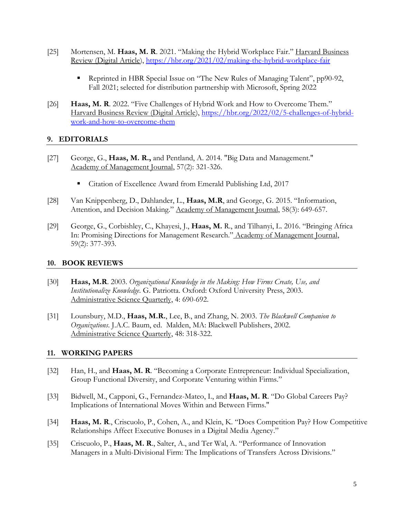- [25] Mortensen, M. **Haas, M. R**. 2021. "Making the Hybrid Workplace Fair." Harvard Business Review (Digital Article),<https://hbr.org/2021/02/making-the-hybrid-workplace-fair>
	- **Reprinted in HBR Special Issue on "The New Rules of Managing Talent", pp90-92,** Fall 2021; selected for distribution partnership with Microsoft, Spring 2022
- [26] **Haas, M. R**. 2022. "Five Challenges of Hybrid Work and How to Overcome Them." Harvard Business Review (Digital Article), [https://hbr.org/2022/02/5-challenges-of-hybrid](https://hbr.org/2022/02/5-challenges-of-hybrid-work-and-how-to-overcome-them)[work-and-how-to-overcome-them](https://hbr.org/2022/02/5-challenges-of-hybrid-work-and-how-to-overcome-them)

## **9. EDITORIALS**

- [27] George, G., **Haas, M. R.,** and Pentland, A. 2014. "Big Data and Management." Academy of Management Journal, 57(2): 321-326.
	- Citation of Excellence Award from Emerald Publishing Ltd, 2017
- [28] Van Knippenberg, D., Dahlander, L., **Haas, M.R**, and George, G. 2015. "Information, Attention, and Decision Making." Academy of Management Journal, 58(3): 649-657.
- [29] George, G., Corbishley, C., Khayesi, J., **Haas, M.** R., and Tilhanyi, L. 2016. "Bringing Africa In: Promising Directions for Management Research." Academy of Management Journal, 59(2): 377-393.

## **10. BOOK REVIEWS**

- [30] **Haas, M.R**. 2003. *Organizational Knowledge in the Making: How Firms Create, Use, and Institutionalize Knowledge*. G. Patriotta. Oxford: Oxford University Press, 2003. Administrative Science Quarterly, 4: 690-692.
- [31] Lounsbury, M.D., **Haas, M.R.**, Lee, B., and Zhang, N. 2003. *The Blackwell Companion to Organizations*. J.A.C. Baum, ed. Malden, MA: Blackwell Publishers, 2002. Administrative Science Quarterly, 48: 318-322.

## **11. WORKING PAPERS**

- [32] Han, H., and **Haas, M. R**. "Becoming a Corporate Entrepreneur: Individual Specialization, Group Functional Diversity, and Corporate Venturing within Firms."
- [33] Bidwell, M., Capponi, G., Fernandez-Mateo, I., and **Haas, M. R**. "Do Global Careers Pay? Implications of International Moves Within and Between Firms."
- [34] **Haas, M. R**., Criscuolo, P., Cohen, A., and Klein, K. "Does Competition Pay? How Competitive Relationships Affect Executive Bonuses in a Digital Media Agency."
- [35] Criscuolo, P., **Haas, M. R**., Salter, A., and Ter Wal, A. "Performance of Innovation Managers in a Multi-Divisional Firm: The Implications of Transfers Across Divisions."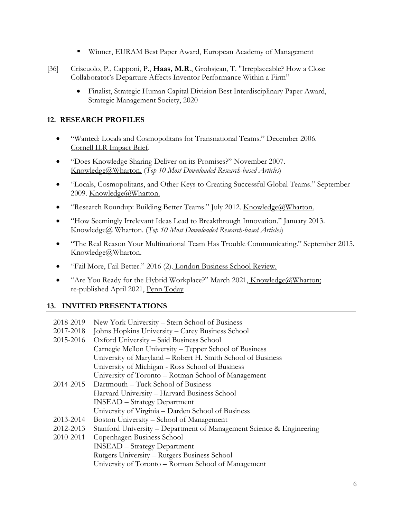- Winner, EURAM Best Paper Award, European Academy of Management
- [36] Criscuolo, P., Capponi, P., **Haas, M.R**., Grohsjean, T. "Irreplaceable? How a Close Collaborator's Departure Affects Inventor Performance Within a Firm"
	- Finalist, Strategic Human Capital Division Best Interdisciplinary Paper Award, Strategic Management Society, 2020

# **12. RESEARCH PROFILES**

- "Wanted: Locals and Cosmopolitans for Transnational Teams." December 2006. Cornell ILR Impact Brief.
- "Does Knowledge Sharing Deliver on its Promises?" November 2007. Knowledge@Wharton. (*Top 10 Most Downloaded Research-based Articles*)
- "Locals, Cosmopolitans, and Other Keys to Creating Successful Global Teams." September 2009. Knowledge@Wharton.
- "Research Roundup: Building Better Teams." July 2012. Knowledge@Wharton.
- "How Seemingly Irrelevant Ideas Lead to Breakthrough Innovation." January 2013. Knowledge@ Wharton. (*Top 10 Most Downloaded Research-based Articles*)
- "The Real Reason Your Multinational Team Has Trouble Communicating." September 2015. Knowledge@Wharton.
- "Fail More, Fail Better." 2016 (2). London Business School Review.
- "Are You Ready for the Hybrid Workplace?" March 2021, Knowledge@Wharton; re-published April 2021, Penn Today

# **13. INVITED PRESENTATIONS**

| 2018-2019 | New York University – Stern School of Business                       |
|-----------|----------------------------------------------------------------------|
| 2017-2018 | Johns Hopkins University – Carey Business School                     |
| 2015-2016 | Oxford University - Said Business School                             |
|           | Carnegie Mellon University – Tepper School of Business               |
|           | University of Maryland – Robert H. Smith School of Business          |
|           | University of Michigan - Ross School of Business                     |
|           | University of Toronto – Rotman School of Management                  |
| 2014-2015 | Dartmouth – Tuck School of Business                                  |
|           | Harvard University – Harvard Business School                         |
|           | <b>INSEAD</b> – Strategy Department                                  |
|           | University of Virginia - Darden School of Business                   |
| 2013-2014 | Boston University – School of Management                             |
| 2012-2013 | Stanford University – Department of Management Science & Engineering |
| 2010-2011 | Copenhagen Business School                                           |
|           | <b>INSEAD</b> – Strategy Department                                  |
|           | Rutgers University - Rutgers Business School                         |
|           | University of Toronto – Rotman School of Management                  |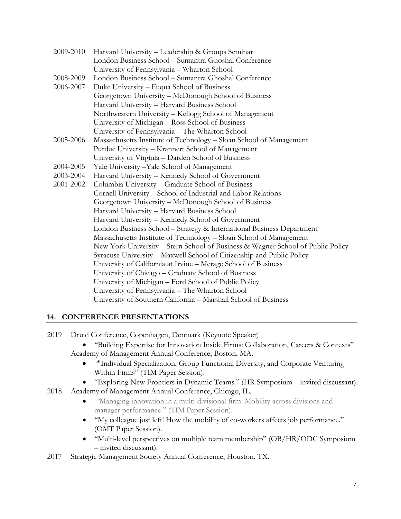| 2009-2010 | Harvard University - Leadership & Groups Seminar                                |  |
|-----------|---------------------------------------------------------------------------------|--|
|           | London Business School - Sumantra Ghoshal Conference                            |  |
|           | University of Pennsylvania - Wharton School                                     |  |
| 2008-2009 | London Business School – Sumantra Ghoshal Conference                            |  |
| 2006-2007 | Duke University – Fuqua School of Business                                      |  |
|           | Georgetown University - McDonough School of Business                            |  |
|           | Harvard University - Harvard Business School                                    |  |
|           | Northwestern University - Kellogg School of Management                          |  |
|           | University of Michigan - Ross School of Business                                |  |
|           | University of Pennsylvania - The Wharton School                                 |  |
| 2005-2006 | Massachusetts Institute of Technology - Sloan School of Management              |  |
|           | Purdue University - Krannert School of Management                               |  |
|           | University of Virginia – Darden School of Business                              |  |
| 2004-2005 | Yale University - Yale School of Management                                     |  |
| 2003-2004 | Harvard University - Kennedy School of Government                               |  |
| 2001-2002 | Columbia University - Graduate School of Business                               |  |
|           | Cornell University - School of Industrial and Labor Relations                   |  |
|           | Georgetown University - McDonough School of Business                            |  |
|           | Harvard University - Harvard Business School                                    |  |
|           | Harvard University - Kennedy School of Government                               |  |
|           | London Business School - Strategy & International Business Department           |  |
|           | Massachusetts Institute of Technology - Sloan School of Management              |  |
|           | New York University - Stern School of Business & Wagner School of Public Policy |  |
|           | Syracuse University – Maxwell School of Citizenship and Public Policy           |  |
|           | University of California at Irvine – Merage School of Business                  |  |
|           | University of Chicago - Graduate School of Business                             |  |
|           | University of Michigan – Ford School of Public Policy                           |  |
|           | University of Pennsylvania - The Wharton School                                 |  |
|           | University of Southern California - Marshall School of Business                 |  |

# **14. CONFERENCE PRESENTATIONS**

2019 Druid Conference, Copenhagen, Denmark (Keynote Speaker)

 "Building Expertise for Innovation Inside Firms: Collaboration, Careers & Contexts" Academy of Management Annual Conference, Boston, MA.

- *"*"Individual Specialization, Group Functional Diversity, and Corporate Venturing Within Firms" (TIM Paper Session).
- "Exploring New Frontiers in Dynamic Teams." (HR Symposium invited discussant).
- 2018 Academy of Management Annual Conference, Chicago, IL.
	- *"*Managing innovation in a multi-divisional firm: Mobility across divisions and manager performance." (TIM Paper Session).
	- "My colleague just left! How the mobility of co-workers affects job performance." (OMT Paper Session).
	- "Multi-level perspectives on multiple team membership" (OB/HR/ODC Symposium – invited discussant).
- 2017 Strategic Management Society Annual Conference, Houston, TX.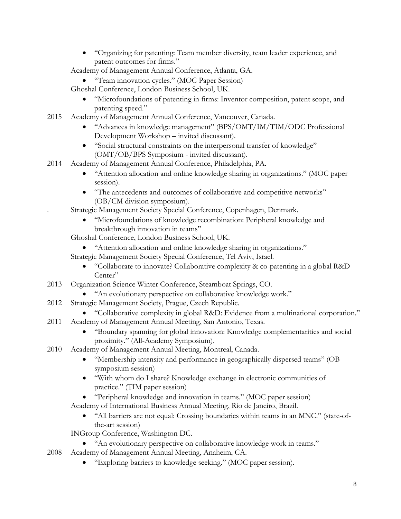- "Organizing for patenting: Team member diversity, team leader experience, and patent outcomes for firms."
- Academy of Management Annual Conference, Atlanta, GA.
	- "Team innovation cycles." (MOC Paper Session)

Ghoshal Conference, London Business School, UK.

- "Microfoundations of patenting in firms: Inventor composition, patent scope, and patenting speed."
- 2015 Academy of Management Annual Conference, Vancouver, Canada.
	- "Advances in knowledge management" (BPS/OMT/IM/TIM/ODC Professional Development Workshop – invited discussant).
	- "Social structural constraints on the interpersonal transfer of knowledge" (OMT/OB/BPS Symposium - invited discussant).
- 2014 Academy of Management Annual Conference, Philadelphia, PA.
	- "Attention allocation and online knowledge sharing in organizations." (MOC paper session).
	- "The antecedents and outcomes of collaborative and competitive networks" (OB/CM division symposium).
	- . Strategic Management Society Special Conference, Copenhagen, Denmark.
		- "Microfoundations of knowledge recombination: Peripheral knowledge and breakthrough innovation in teams"

Ghoshal Conference, London Business School, UK.

- "Attention allocation and online knowledge sharing in organizations."
- Strategic Management Society Special Conference, Tel Aviv, Israel.
	- "Collaborate to innovate? Collaborative complexity & co-patenting in a global R&D Center"
- 2013 Organization Science Winter Conference, Steamboat Springs, CO.
	- "An evolutionary perspective on collaborative knowledge work."
- 2012 Strategic Management Society, Prague, Czech Republic.
	- "Collaborative complexity in global R&D: Evidence from a multinational corporation."
- 2011 Academy of Management Annual Meeting, San Antonio, Texas.
	- "Boundary spanning for global innovation: Knowledge complementarities and social proximity." (All-Academy Symposium),
- 2010 Academy of Management Annual Meeting, Montreal, Canada.
	- "Membership intensity and performance in geographically dispersed teams" (OB symposium session)
	- "With whom do I share? Knowledge exchange in electronic communities of practice." (TIM paper session)
	- "Peripheral knowledge and innovation in teams." (MOC paper session)
	- Academy of International Business Annual Meeting, Rio de Janeiro, Brazil.
		- "All barriers are not equal: Crossing boundaries within teams in an MNC." (state-ofthe-art session)

INGroup Conference, Washington DC.

- "An evolutionary perspective on collaborative knowledge work in teams."
- 2008 Academy of Management Annual Meeting, Anaheim, CA.
	- "Exploring barriers to knowledge seeking." (MOC paper session).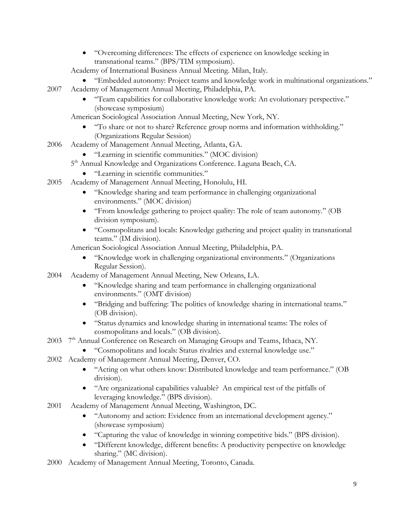"Overcoming differences: The effects of experience on knowledge seeking in transnational teams." (BPS/TIM symposium).

Academy of International Business Annual Meeting. Milan, Italy.

- "Embedded autonomy: Project teams and knowledge work in multinational organizations." 2007 Academy of Management Annual Meeting, Philadelphia, PA.
	- "Team capabilities for collaborative knowledge work: An evolutionary perspective." (showcase symposium)

American Sociological Association Annual Meeting, New York, NY.

- "To share or not to share? Reference group norms and information withholding." (Organizations Regular Session)
- 2006 Academy of Management Annual Meeting, Atlanta, GA.
	- "Learning in scientific communities." (MOC division)
	- 5<sup>th</sup> Annual Knowledge and Organizations Conference. Laguna Beach, CA.
		- "Learning in scientific communities."
- 2005 Academy of Management Annual Meeting, Honolulu, HI.
	- "Knowledge sharing and team performance in challenging organizational environments." (MOC division)
	- "From knowledge gathering to project quality: The role of team autonomy." (OB division symposium).
	- "Cosmopolitans and locals: Knowledge gathering and project quality in transnational teams." (IM division).

American Sociological Association Annual Meeting, Philadelphia, PA.

- "Knowledge work in challenging organizational environments." (Organizations Regular Session).
- 2004 Academy of Management Annual Meeting, New Orleans, LA.
	- "Knowledge sharing and team performance in challenging organizational environments." (OMT division)
	- "Bridging and buffering: The politics of knowledge sharing in international teams." (OB division).
	- "Status dynamics and knowledge sharing in international teams: The roles of cosmopolitans and locals." (OB division).
- 2003 7<sup>th</sup> Annual Conference on Research on Managing Groups and Teams, Ithaca, NY.
	- "Cosmopolitans and locals: Status rivalries and external knowledge use."
- 2002 Academy of Management Annual Meeting, Denver, CO.
	- "Acting on what others know: Distributed knowledge and team performance." (OB division).
	- "Are organizational capabilities valuable? An empirical test of the pitfalls of leveraging knowledge." (BPS division).
- 2001 Academy of Management Annual Meeting, Washington, DC.
	- "Autonomy and action: Evidence from an international development agency." (showcase symposium)
	- "Capturing the value of knowledge in winning competitive bids." (BPS division).
	- "Different knowledge, different benefits: A productivity perspective on knowledge sharing." (MC division).
- 2000 Academy of Management Annual Meeting, Toronto, Canada.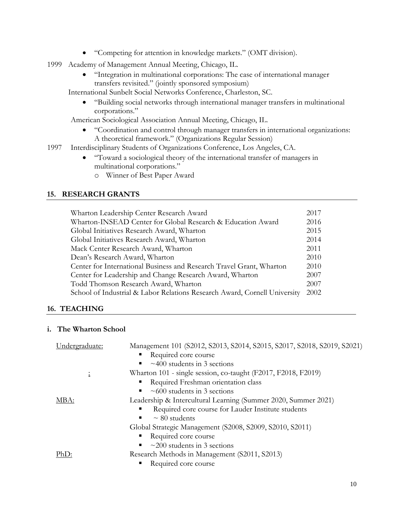- "Competing for attention in knowledge markets." (OMT division).
- 1999 Academy of Management Annual Meeting, Chicago, IL.
	- "Integration in multinational corporations: The case of international manager transfers revisited." (jointly sponsored symposium)

International Sunbelt Social Networks Conference, Charleston, SC.

 "Building social networks through international manager transfers in multinational corporations."

American Sociological Association Annual Meeting, Chicago, IL.

- "Coordination and control through manager transfers in international organizations: A theoretical framework." (Organizations Regular Session)
- 1997 Interdisciplinary Students of Organizations Conference, Los Angeles, CA.
	- "Toward a sociological theory of the international transfer of managers in multinational corporations."
		- o Winner of Best Paper Award

## **15. RESEARCH GRANTS**

| Wharton Leadership Center Research Award                                  | 2017 |
|---------------------------------------------------------------------------|------|
| Wharton-INSEAD Center for Global Research & Education Award               | 2016 |
| Global Initiatives Research Award, Wharton                                | 2015 |
| Global Initiatives Research Award, Wharton                                | 2014 |
| Mack Center Research Award, Wharton                                       | 2011 |
| Dean's Research Award, Wharton                                            | 2010 |
| Center for International Business and Research Travel Grant, Wharton      | 2010 |
| Center for Leadership and Change Research Award, Wharton                  | 2007 |
| Todd Thomson Research Award, Wharton                                      | 2007 |
| School of Industrial & Labor Relations Research Award, Cornell University | 2002 |

## **16. TEACHING**

#### **i. The Wharton School**

| Undergraduate: | Management 101 (S2012, S2013, S2014, S2015, S2017, S2018, S2019, S2021) |
|----------------|-------------------------------------------------------------------------|
|                | Required core course                                                    |
|                | $\sim$ 400 students in 3 sections                                       |
| ÷              | Wharton 101 - single session, co-taught (F2017, F2018, F2019)           |
|                | Required Freshman orientation class                                     |
|                | $\approx 600$ students in 3 sections                                    |
| MBA:           | Leadership & Intercultural Learning (Summer 2020, Summer 2021)          |
|                | Required core course for Lauder Institute students                      |
|                | $\sim$ 80 students<br>ш                                                 |
|                | Global Strategic Management (S2008, S2009, S2010, S2011)                |
|                | Required core course                                                    |
|                | $\approx$ 200 students in 3 sections                                    |
| PhD:           | Research Methods in Management (S2011, S2013)                           |
|                | Required core course                                                    |
|                |                                                                         |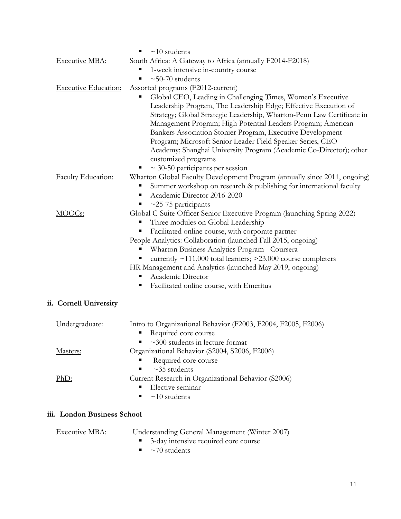|                             | $\sim$ 10 students<br>$\blacksquare$                                                                                                                                                                                                                                                                                                                                                                                                                                                                                                                 |
|-----------------------------|------------------------------------------------------------------------------------------------------------------------------------------------------------------------------------------------------------------------------------------------------------------------------------------------------------------------------------------------------------------------------------------------------------------------------------------------------------------------------------------------------------------------------------------------------|
| <b>Executive MBA:</b>       | South Africa: A Gateway to Africa (annually F2014-F2018)                                                                                                                                                                                                                                                                                                                                                                                                                                                                                             |
|                             | 1-week intensive in-country course                                                                                                                                                                                                                                                                                                                                                                                                                                                                                                                   |
|                             | $\sim$ 50-70 students<br>п                                                                                                                                                                                                                                                                                                                                                                                                                                                                                                                           |
| <b>Executive Education:</b> | Assorted programs (F2012-current)                                                                                                                                                                                                                                                                                                                                                                                                                                                                                                                    |
|                             | Global CEO, Leading in Challenging Times, Women's Executive<br>п<br>Leadership Program, The Leadership Edge; Effective Execution of<br>Strategy; Global Strategic Leadership, Wharton-Penn Law Certificate in<br>Management Program; High Potential Leaders Program; American<br>Bankers Association Stonier Program, Executive Development<br>Program; Microsoft Senior Leader Field Speaker Series, CEO<br>Academy; Shanghai University Program (Academic Co-Director); other<br>customized programs<br>$\sim$ 30-50 participants per session<br>Е |
| Faculty Education:          | Wharton Global Faculty Development Program (annually since 2011, ongoing)                                                                                                                                                                                                                                                                                                                                                                                                                                                                            |
|                             | Summer workshop on research & publishing for international faculty<br>Е<br>Academic Director 2016-2020<br>Е<br>$\sim$ 25-75 participants                                                                                                                                                                                                                                                                                                                                                                                                             |
| MOOC <sub>s:</sub>          | Global C-Suite Officer Senior Executive Program (launching Spring 2022)                                                                                                                                                                                                                                                                                                                                                                                                                                                                              |
|                             | Three modules on Global Leadership                                                                                                                                                                                                                                                                                                                                                                                                                                                                                                                   |
|                             | Facilitated online course, with corporate partner<br>Е                                                                                                                                                                                                                                                                                                                                                                                                                                                                                               |
|                             | People Analytics: Collaboration (launched Fall 2015, ongoing)                                                                                                                                                                                                                                                                                                                                                                                                                                                                                        |
|                             | Wharton Business Analytics Program - Coursera                                                                                                                                                                                                                                                                                                                                                                                                                                                                                                        |
|                             | currently $\sim$ 111,000 total learners; $>$ 23,000 course completers                                                                                                                                                                                                                                                                                                                                                                                                                                                                                |
|                             | HR Management and Analytics (launched May 2019, ongoing)                                                                                                                                                                                                                                                                                                                                                                                                                                                                                             |
|                             | Academic Director<br>п                                                                                                                                                                                                                                                                                                                                                                                                                                                                                                                               |
|                             | Facilitated online course, with Emeritus<br>п                                                                                                                                                                                                                                                                                                                                                                                                                                                                                                        |
| ii. Cornell University      |                                                                                                                                                                                                                                                                                                                                                                                                                                                                                                                                                      |
| Undergraduate:              | Intro to Organizational Behavior (F2003, F2004, F2005, F2006)                                                                                                                                                                                                                                                                                                                                                                                                                                                                                        |
|                             | Required core course                                                                                                                                                                                                                                                                                                                                                                                                                                                                                                                                 |
|                             | $\sim$ 300 students in lecture format                                                                                                                                                                                                                                                                                                                                                                                                                                                                                                                |
| Masters:                    | Organizational Behavior (S2004, S2006, F2006)                                                                                                                                                                                                                                                                                                                                                                                                                                                                                                        |
|                             | Required core course                                                                                                                                                                                                                                                                                                                                                                                                                                                                                                                                 |
|                             | $~1$ <sup>-35</sup> students                                                                                                                                                                                                                                                                                                                                                                                                                                                                                                                         |
| PhD:                        | Current Research in Organizational Behavior (S2006)<br>Elective seminar                                                                                                                                                                                                                                                                                                                                                                                                                                                                              |
|                             |                                                                                                                                                                                                                                                                                                                                                                                                                                                                                                                                                      |
|                             | $~10$ students<br>п                                                                                                                                                                                                                                                                                                                                                                                                                                                                                                                                  |
| iii. London Business School |                                                                                                                                                                                                                                                                                                                                                                                                                                                                                                                                                      |
| <b>Executive MBA:</b>       | Understanding General Management (Winter 2007)                                                                                                                                                                                                                                                                                                                                                                                                                                                                                                       |
|                             |                                                                                                                                                                                                                                                                                                                                                                                                                                                                                                                                                      |

■ 3-day intensive required core course

 $\sim 70$  students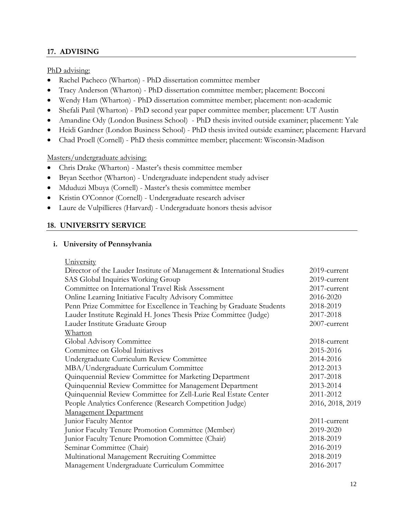# **17. ADVISING**

PhD advising:

- Rachel Pacheco (Wharton) PhD dissertation committee member
- Tracy Anderson (Wharton) PhD dissertation committee member; placement: Bocconi
- Wendy Ham (Wharton) PhD dissertation committee member; placement: non-academic
- Shefali Patil (Wharton) PhD second year paper committee member; placement: UT Austin
- Amandine Ody (London Business School) PhD thesis invited outside examiner; placement: Yale
- Heidi Gardner (London Business School) PhD thesis invited outside examiner; placement: Harvard
- Chad Proell (Cornell) PhD thesis committee member; placement: Wisconsin-Madison

## Masters/undergraduate advising:

- Chris Drake (Wharton) Master's thesis committee member
- Bryan Seethor (Wharton) Undergraduate independent study adviser
- Mduduzi Mbuya (Cornell) Master's thesis committee member
- Kristin O'Connor (Cornell) Undergraduate research adviser
- Laure de Vulpillieres (Harvard) Undergraduate honors thesis advisor

# **18. UNIVERSITY SERVICE**

## **i. University of Pennsylvania**

**University** 

| Director of the Lauder Institute of Management & International Studies | 2019-current     |
|------------------------------------------------------------------------|------------------|
| SAS Global Inquiries Working Group                                     | 2019-current     |
| Committee on International Travel Risk Assessment                      | 2017-current     |
| Online Learning Initiative Faculty Advisory Committee                  | 2016-2020        |
| Penn Prize Committee for Excellence in Teaching by Graduate Students   | 2018-2019        |
| Lauder Institute Reginald H. Jones Thesis Prize Committee (Judge)      | 2017-2018        |
| Lauder Institute Graduate Group                                        | 2007-current     |
| Wharton                                                                |                  |
| Global Advisory Committee                                              | 2018-current     |
| Committee on Global Initiatives                                        | 2015-2016        |
| Undergraduate Curriculum Review Committee                              | 2014-2016        |
| MBA/Undergraduate Curriculum Committee                                 | 2012-2013        |
| Quinquennial Review Committee for Marketing Department                 | 2017-2018        |
| Quinquennial Review Committee for Management Department                | 2013-2014        |
| Quinquennial Review Committee for Zell-Lurie Real Estate Center        | 2011-2012        |
| People Analytics Conference (Research Competition Judge)               | 2016, 2018, 2019 |
| <b>Management Department</b>                                           |                  |
| Junior Faculty Mentor                                                  | 2011-current     |
| Junior Faculty Tenure Promotion Committee (Member)                     | 2019-2020        |
| Junior Faculty Tenure Promotion Committee (Chair)                      | 2018-2019        |
| Seminar Committee (Chair)                                              | 2016-2019        |
| Multinational Management Recruiting Committee                          | 2018-2019        |
| Management Undergraduate Curriculum Committee                          | 2016-2017        |
|                                                                        |                  |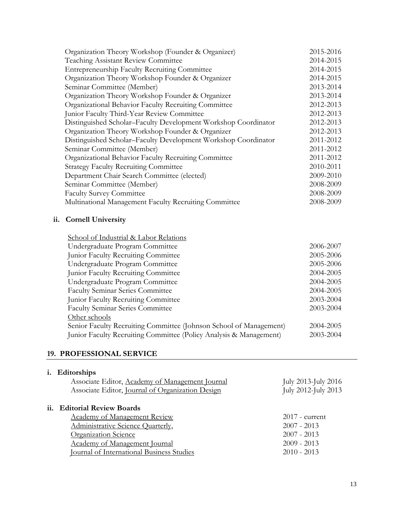| Organization Theory Workshop (Founder & Organizer)             | 2015-2016 |
|----------------------------------------------------------------|-----------|
| <b>Teaching Assistant Review Committee</b>                     | 2014-2015 |
| <b>Entrepreneurship Faculty Recruiting Committee</b>           | 2014-2015 |
| Organization Theory Workshop Founder & Organizer               | 2014-2015 |
| Seminar Committee (Member)                                     | 2013-2014 |
| Organization Theory Workshop Founder & Organizer               | 2013-2014 |
| Organizational Behavior Faculty Recruiting Committee           | 2012-2013 |
| Junior Faculty Third-Year Review Committee                     | 2012-2013 |
| Distinguished Scholar-Faculty Development Workshop Coordinator | 2012-2013 |
| Organization Theory Workshop Founder & Organizer               | 2012-2013 |
| Distinguished Scholar-Faculty Development Workshop Coordinator | 2011-2012 |
| Seminar Committee (Member)                                     | 2011-2012 |
| Organizational Behavior Faculty Recruiting Committee           | 2011-2012 |
| <b>Strategy Faculty Recruiting Committee</b>                   | 2010-2011 |
| Department Chair Search Committee (elected)                    | 2009-2010 |
| Seminar Committee (Member)                                     | 2008-2009 |
| <b>Faculty Survey Committee</b>                                | 2008-2009 |
| Multinational Management Faculty Recruiting Committee          | 2008-2009 |

# **ii. Cornell University**

| School of Industrial & Labor Relations                             |           |
|--------------------------------------------------------------------|-----------|
| Undergraduate Program Committee                                    | 2006-2007 |
| Junior Faculty Recruiting Committee                                | 2005-2006 |
| Undergraduate Program Committee                                    | 2005-2006 |
| Junior Faculty Recruiting Committee                                | 2004-2005 |
| Undergraduate Program Committee                                    | 2004-2005 |
| <b>Faculty Seminar Series Committee</b>                            | 2004-2005 |
| Junior Faculty Recruiting Committee                                | 2003-2004 |
| <b>Faculty Seminar Series Committee</b>                            | 2003-2004 |
| Other schools                                                      |           |
| Senior Faculty Recruiting Committee (Johnson School of Management) | 2004-2005 |
| Junior Faculty Recruiting Committee (Policy Analysis & Management) | 2003-2004 |
|                                                                    |           |

## **19. PROFESSIONAL SERVICE**

| <b>Editorships</b><br>Associate Editor, Academy of Management Journal<br>Associate Editor, Journal of Organization Design | July 2013-July 2016<br>July 2012-July 2013 |
|---------------------------------------------------------------------------------------------------------------------------|--------------------------------------------|
| ii. Editorial Review Boards                                                                                               |                                            |
| <b>Academy of Management Review</b>                                                                                       | $2017$ - current                           |
| Administrative Science Quarterly,                                                                                         | $2007 - 2013$                              |
| <b>Organization Science</b>                                                                                               | $2007 - 2013$                              |
| <b>Academy of Management Journal</b>                                                                                      | $2009 - 2013$                              |
| <b>Journal of International Business Studies</b>                                                                          | $2010 - 2013$                              |
|                                                                                                                           |                                            |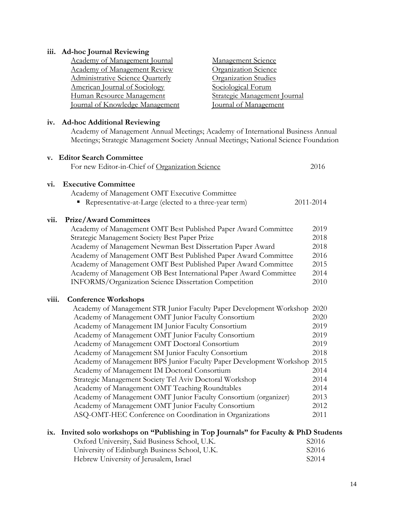# **iii. Ad-hoc Journal Reviewing**

| <b>Academy of Management Journal</b> | <b>Management Science</b>    |
|--------------------------------------|------------------------------|
| <b>Academy of Management Review</b>  | Organization Science         |
| Administrative Science Quarterly     | <b>Organization Studies</b>  |
| American Journal of Sociology        | Sociological Forum           |
| Human Resource Management            | Strategic Management Journal |
| Journal of Knowledge Management      | Journal of Management        |

# **iv. Ad-hoc Additional Reviewing**

Academy of Management Annual Meetings; Academy of International Business Annual Meetings; Strategic Management Society Annual Meetings; National Science Foundation

|       | v. Editor Search Committee                                          |           |
|-------|---------------------------------------------------------------------|-----------|
|       | For new Editor-in-Chief of Organization Science                     | 2016      |
| vi.   | <b>Executive Committee</b>                                          |           |
|       | Academy of Management OMT Executive Committee                       |           |
|       | Representative-at-Large (elected to a three-year term)              | 2011-2014 |
| vii.  | <b>Prize/Award Committees</b>                                       |           |
|       | Academy of Management OMT Best Published Paper Award Committee      | 2019      |
|       | Strategic Management Society Best Paper Prize                       | 2018      |
|       | Academy of Management Newman Best Dissertation Paper Award          | 2018      |
|       | Academy of Management OMT Best Published Paper Award Committee      | 2016      |
|       | Academy of Management OMT Best Published Paper Award Committee      | 2015      |
|       | Academy of Management OB Best International Paper Award Committee   | 2014      |
|       | INFORMS/Organization Science Dissertation Competition               | 2010      |
| viii. | <b>Conference Workshops</b>                                         |           |
|       | Academy of Management STR Junior Faculty Paper Development Workshop | 2020      |
|       | Academy of Management OMT Junior Faculty Consortium                 | 2020      |
|       | Academy of Management IM Junior Faculty Consortium                  | 2019      |
|       | Academy of Management OMT Junior Faculty Consortium                 | 2019      |
|       | Academy of Management OMT Doctoral Consortium                       | 2019      |
|       | Academy of Management SM Junior Faculty Consortium                  | 2018      |
|       | Academy of Management BPS Junior Faculty Paper Development Workshop | 2015      |
|       | Academy of Management IM Doctoral Consortium                        | 2014      |
|       | Strategic Management Society Tel Aviv Doctoral Workshop             | 2014      |
|       | Academy of Management OMT Teaching Roundtables                      | 2014      |
|       | Academy of Management OMT Junior Faculty Consortium (organizer)     | 2013      |
|       | Academy of Management OMT Junior Faculty Consortium                 | 2012      |
|       | ASQ-OMT-HEC Conference on Coordination in Organizations             | 2011      |
|       |                                                                     |           |

# **ix. Invited solo workshops on "Publishing in Top Journals" for Faculty & PhD Students**

| Oxford University, Said Business School, U.K. | S2016 |
|-----------------------------------------------|-------|
| University of Edinburgh Business School, U.K. | S2016 |
| Hebrew University of Jerusalem, Israel        | S2014 |